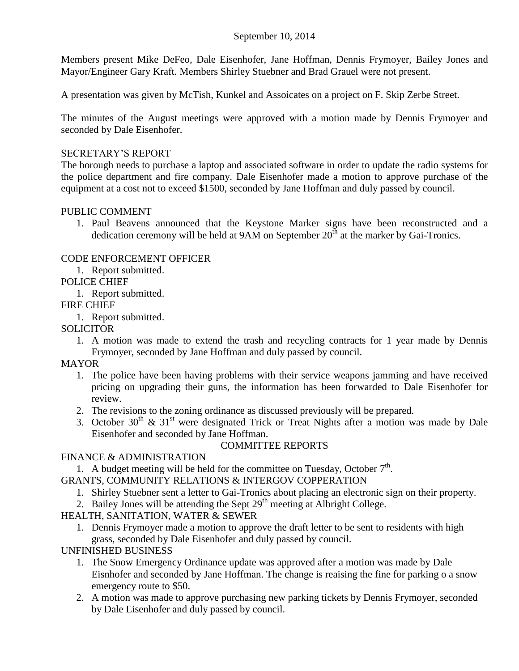### September 10, 2014

Members present Mike DeFeo, Dale Eisenhofer, Jane Hoffman, Dennis Frymoyer, Bailey Jones and Mayor/Engineer Gary Kraft. Members Shirley Stuebner and Brad Grauel were not present.

A presentation was given by McTish, Kunkel and Assoicates on a project on F. Skip Zerbe Street.

The minutes of the August meetings were approved with a motion made by Dennis Frymoyer and seconded by Dale Eisenhofer.

### SECRETARY'S REPORT

The borough needs to purchase a laptop and associated software in order to update the radio systems for the police department and fire company. Dale Eisenhofer made a motion to approve purchase of the equipment at a cost not to exceed \$1500, seconded by Jane Hoffman and duly passed by council.

#### PUBLIC COMMENT

1. Paul Beavens announced that the Keystone Marker signs have been reconstructed and a dedication ceremony will be held at  $9AM$  on September  $20<sup>th</sup>$  at the marker by Gai-Tronics.

### CODE ENFORCEMENT OFFICER

1. Report submitted.

## POLICE CHIEF

1. Report submitted.

#### FIRE CHIEF

1. Report submitted.

## **SOLICITOR**

1. A motion was made to extend the trash and recycling contracts for 1 year made by Dennis Frymoyer, seconded by Jane Hoffman and duly passed by council.

### MAYOR

- 1. The police have been having problems with their service weapons jamming and have received pricing on upgrading their guns, the information has been forwarded to Dale Eisenhofer for review.
- 2. The revisions to the zoning ordinance as discussed previously will be prepared.
- 3. October 30<sup>th</sup> & 31<sup>st</sup> were designated Trick or Treat Nights after a motion was made by Dale Eisenhofer and seconded by Jane Hoffman.

### COMMITTEE REPORTS

### FINANCE & ADMINISTRATION

1. A budget meeting will be held for the committee on Tuesday, October  $7<sup>th</sup>$ .

GRANTS, COMMUNITY RELATIONS & INTERGOV COPPERATION

- 1. Shirley Stuebner sent a letter to Gai-Tronics about placing an electronic sign on their property.
- 2. Bailey Jones will be attending the Sept  $29<sup>th</sup>$  meeting at Albright College.

# HEALTH, SANITATION, WATER & SEWER

1. Dennis Frymoyer made a motion to approve the draft letter to be sent to residents with high grass, seconded by Dale Eisenhofer and duly passed by council.

### UNFINISHED BUSINESS

- 1. The Snow Emergency Ordinance update was approved after a motion was made by Dale Eisnhofer and seconded by Jane Hoffman. The change is reaising the fine for parking o a snow emergency route to \$50.
- 2. A motion was made to approve purchasing new parking tickets by Dennis Frymoyer, seconded by Dale Eisenhofer and duly passed by council.